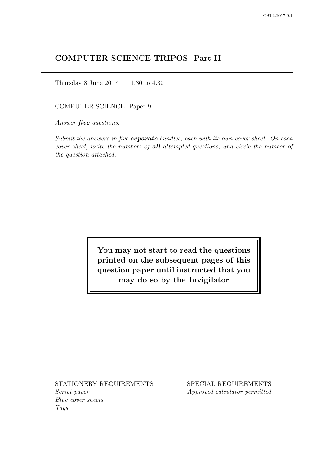# COMPUTER SCIENCE TRIPOS Part II

Thursday 8 June 2017 1.30 to 4.30

COMPUTER SCIENCE Paper 9

Answer *five* questions.

Submit the answers in five **separate** bundles, each with its own cover sheet. On each cover sheet, write the numbers of **all** attempted questions, and circle the number of the question attached.

> You may not start to read the questions printed on the subsequent pages of this question paper until instructed that you may do so by the Invigilator

STATIONERY REQUIREMENTS Script paper Blue cover sheets

Tags

SPECIAL REQUIREMENTS Approved calculator permitted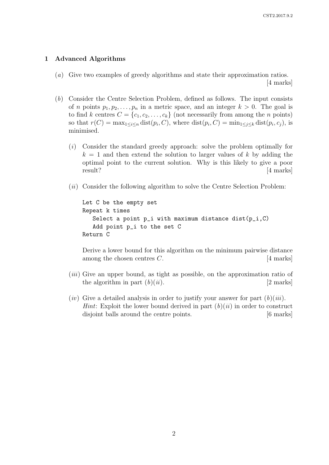#### 1 Advanced Algorithms

(a) Give two examples of greedy algorithms and state their approximation ratios.

[4 marks]

- (b) Consider the Centre Selection Problem, defined as follows. The input consists of *n* points  $p_1, p_2, \ldots, p_n$  in a metric space, and an integer  $k > 0$ . The goal is to find k centres  $C = \{c_1, c_2, \ldots, c_k\}$  (not necessarily from among the n points) so that  $r(C) = \max_{1 \leq i \leq n} \text{dist}(p_i, C)$ , where  $\text{dist}(p_i, C) = \min_{1 \leq j \leq k} \text{dist}(p_i, c_j)$ , is minimised.
	- (i) Consider the standard greedy approach: solve the problem optimally for  $k = 1$  and then extend the solution to larger values of k by adding the optimal point to the current solution. Why is this likely to give a poor result? [4 marks]
	- (*ii*) Consider the following algorithm to solve the Centre Selection Problem:

Let C be the empty set Repeat k times Select a point  $p_i$  with maximum distance dist( $p_i$ ,C) Add point p\_i to the set C Return C

Derive a lower bound for this algorithm on the minimum pairwise distance among the chosen centres  $C$ .  $[4 \text{ marks}]$ 

- (*iii*) Give an upper bound, as tight as possible, on the approximation ratio of the algorithm in part  $(b)(ii)$ . [2 marks]
- $(iv)$  Give a detailed analysis in order to justify your answer for part  $(b)(iii)$ . *Hint*: Exploit the lower bound derived in part  $(b)(ii)$  in order to construct disjoint balls around the centre points. [6 marks]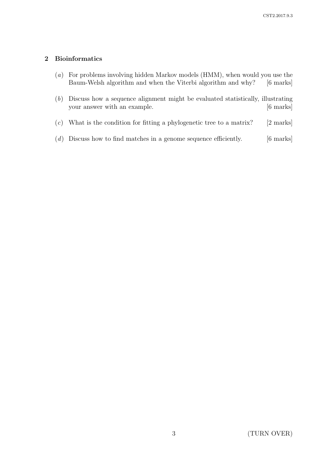## 2 Bioinformatics

- (a) For problems involving hidden Markov models (HMM), when would you use the Baum-Welsh algorithm and when the Viterbi algorithm and why? [6 marks]
- (b) Discuss how a sequence alignment might be evaluated statistically, illustrating your answer with an example. [6 marks]
- (c) What is the condition for fitting a phylogenetic tree to a matrix? [2 marks]
- $(d)$  Discuss how to find matches in a genome sequence efficiently. [6 marks]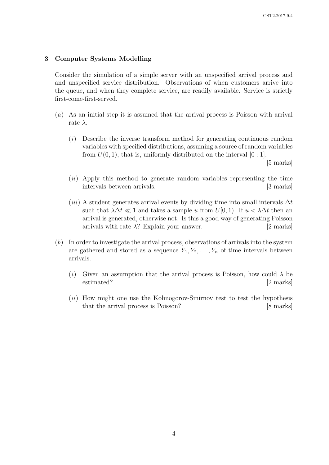### 3 Computer Systems Modelling

Consider the simulation of a simple server with an unspecified arrival process and and unspecified service distribution. Observations of when customers arrive into the queue, and when they complete service, are readily available. Service is strictly first-come-first-served.

- (a) As an initial step it is assumed that the arrival process is Poisson with arrival rate  $\lambda$ .
	- (i) Describe the inverse transform method for generating continuous random variables with specified distributions, assuming a source of random variables from  $U(0, 1)$ , that is, uniformly distributed on the interval  $[0:1]$ .

[5 marks]

- (ii) Apply this method to generate random variables representing the time intervals between arrivals. [3 marks]
- (iii) A student generates arrival events by dividing time into small intervals  $\Delta t$ such that  $\lambda \Delta t \ll 1$  and takes a sample u from  $U[0, 1)$ . If  $u < \lambda \Delta t$  then an arrival is generated, otherwise not. Is this a good way of generating Poisson arrivals with rate  $\lambda$ ? Explain your answer. [2 marks]
- (b) In order to investigate the arrival process, observations of arrivals into the system are gathered and stored as a sequence  $Y_1, Y_2, \ldots, Y_n$  of time intervals between arrivals.
	- (i) Given an assumption that the arrival process is Poisson, how could  $\lambda$  be estimated? [2 marks]
	- $(ii)$  How might one use the Kolmogorov-Smirnov test to test the hypothesis that the arrival process is Poisson? [8 marks]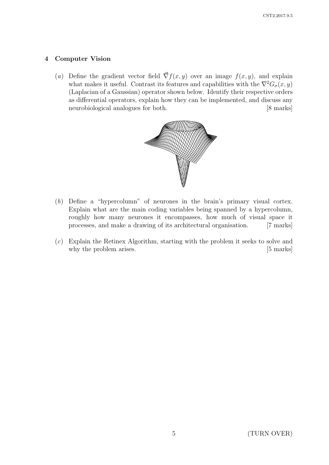## 4 Computer Vision

(a) Define the gradient vector field  $\vec{\nabla} f(x, y)$  over an image  $f(x, y)$ , and explain what makes it useful. Contrast its features and capabilities with the  $\nabla^2 G_{\sigma}(x, y)$ (Laplacian of a Gaussian) operator shown below. Identify their respective orders as differential operators, explain how they can be implemented, and discuss any neurobiological analogues for both. [8 marks]



- (b) Define a "hypercolumn" of neurones in the brain's primary visual cortex. Explain what are the main coding variables being spanned by a hypercolumn, roughly how many neurones it encompasses, how much of visual space it processes, and make a drawing of its architectural organisation. [7 marks]
- (c) Explain the Retinex Algorithm, starting with the problem it seeks to solve and why the problem arises. [5 marks]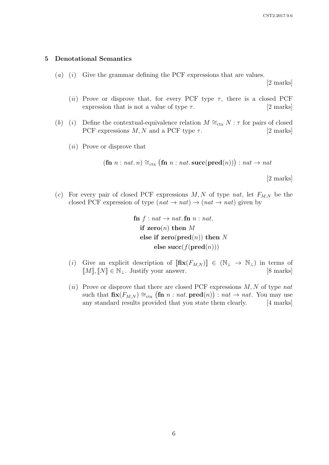#### 5 Denotational Semantics

 $(a)$   $(i)$  Give the grammar defining the PCF expressions that are values.

[2 marks]

- (ii) Prove or disprove that, for every PCF type  $\tau$ , there is a closed PCF expression that is not a value of type  $\tau$ . [2 marks]
- (b) (i) Define the contextual-equivalence relation  $M \cong_{\text{ctx}} N : \tau$  for pairs of closed PCF expressions  $M, N$  and a PCF type  $\tau$ . [2 marks]
	- (ii) Prove or disprove that

$$
(\text{fn } n : nat. n) \cong_{\text{ctx}} (\text{fn } n : nat.\text{succ}(\text{pred}(n))) : nat \rightarrow nat
$$

[2 marks]

(c) For every pair of closed PCF expressions  $M, N$  of type nat, let  $F_{M,N}$  be the closed PCF expression of type  $(nat \to nat) \to (nat \to nat)$  given by

> fn  $f : nat \rightarrow nat$ . fn  $n : nat$ . if  ${\bf zero}(n)$  then M else if  $zero(pred(n))$  then N else succ $(f(\text{pred}(n)))$

- (i) Give an explicit description of  $[\textbf{fix}(F_{M,N})] \in (\mathbb{N}_{\perp} \to \mathbb{N}_{\perp})$  in terms of  $[M], [N] \in \mathbb{N}_{\perp}$ . Justify your answer. [8 marks]  $[M], [N] \in \mathbb{N}_\perp$ . Justify your answer.
- (ii) Prove or disprove that there are closed PCF expressions  $M, N$  of type nat such that  $\mathbf{fix}(F_{M,N}) \cong_{\text{ctx}} (\mathbf{fn} \ n : nat.\ \mathbf{pred}(n)) : nat \to nat.$  You may use any standard results provided that you state them clearly. [4 marks]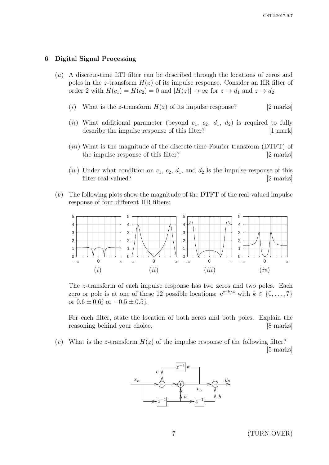#### 6 Digital Signal Processing

- (a) A discrete-time LTI filter can be described through the locations of zeros and poles in the z-transform  $H(z)$  of its impulse response. Consider an IIR filter of order 2 with  $H(c_1) = H(c_2) = 0$  and  $|H(z)| \to \infty$  for  $z \to d_1$  and  $z \to d_2$ .
	- (i) What is the z-transform  $H(z)$  of its impulse response? [2 marks]
	- (ii) What additional parameter (beyond  $c_1$ ,  $c_2$ ,  $d_1$ ,  $d_2$ ) is required to fully describe the impulse response of this filter? [1 mark]
	- $(iii)$  What is the magnitude of the discrete-time Fourier transform (DTFT) of the impulse response of this filter? [2 marks]
	- (iv) Under what condition on  $c_1, c_2, d_1$ , and  $d_2$  is the impulse-response of this filter real-valued? [2 marks]
- (b) The following plots show the magnitude of the DTFT of the real-valued impulse response of four different IIR filters:



The z-transform of each impulse response has two zeros and two poles. Each zero or pole is at one of these 12 possible locations:  $e^{\pi jk/4}$  with  $k \in \{0, \ldots, 7\}$ or  $0.6 \pm 0.6$ j or  $-0.5 \pm 0.5$ j.

For each filter, state the location of both zeros and both poles. Explain the reasoning behind your choice. [8 marks]

(c) What is the z-transform  $H(z)$  of the impulse response of the following filter? [5 marks]



7 (TURN OVER)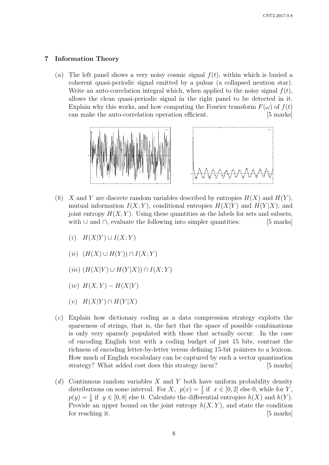## 7 Information Theory

(a) The left panel shows a very noisy cosmic signal  $f(t)$ , within which is buried a coherent quasi-periodic signal emitted by a pulsar (a collapsed neutron star). Write an auto-correlation integral which, when applied to the noisy signal  $f(t)$ , allows the clean quasi-periodic signal in the right panel to be detected in it. Explain why this works, and how computing the Fourier transform  $F(\omega)$  of  $f(t)$ can make the auto-correlation operation efficient. [5 marks]



- (b) X and Y are discrete random variables described by entropies  $H(X)$  and  $H(Y)$ . mutual information  $I(X; Y)$ , conditional entropies  $H(X|Y)$  and  $H(Y|X)$ , and joint entropy  $H(X, Y)$ . Using these quantities as the labels for sets and subsets, with ∪ and ∩, evaluate the following into simpler quantities: [5 marks]
	- $(i)$   $H(X|Y) \cup I(X;Y)$
	- $(ii)$   $(H(X) \cup H(Y)) \cap I(X;Y)$
	- $(iii)$   $(H(X|Y) \cup H(Y|X)) \cap I(X;Y)$
	- $(iv)$   $H(X, Y) H(X|Y)$
	- $(v)$   $H(X|Y) \cap H(Y|X)$
- (c) Explain how dictionary coding as a data compression strategy exploits the sparseness of strings, that is, the fact that the space of possible combinations is only very sparsely populated with those that actually occur. In the case of encoding English text with a coding budget of just 15 bits, contrast the richness of encoding letter-by-letter versus defining 15-bit pointers to a lexicon. How much of English vocabulary can be captured by such a vector quantisation strategy? What added cost does this strategy incur? [5 marks]
- $(d)$  Continuous random variables X and Y both have uniform probability density distributions on some interval. For X,  $p(x) = \frac{1}{2}$  if  $x \in [0,2]$  else 0, while for Y,  $p(y) = \frac{1}{8}$  if  $y \in [0, 8]$  else 0. Calculate the differential entropies  $h(X)$  and  $h(Y)$ . Provide an upper bound on the joint entropy  $h(X, Y)$ , and state the condition for reaching it. [5 marks]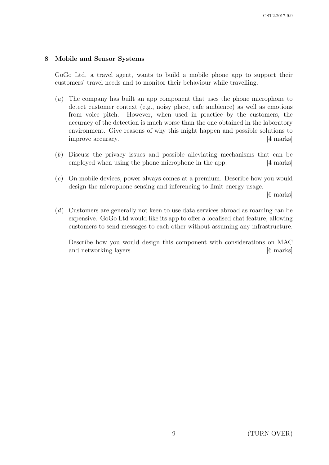## 8 Mobile and Sensor Systems

GoGo Ltd, a travel agent, wants to build a mobile phone app to support their customers' travel needs and to monitor their behaviour while travelling.

- (a) The company has built an app component that uses the phone microphone to detect customer context (e.g., noisy place, cafe ambience) as well as emotions from voice pitch. However, when used in practice by the customers, the accuracy of the detection is much worse than the one obtained in the laboratory environment. Give reasons of why this might happen and possible solutions to improve accuracy. [4 marks]
- (b) Discuss the privacy issues and possible alleviating mechanisms that can be employed when using the phone microphone in the app. [4 marks]
- (c) On mobile devices, power always comes at a premium. Describe how you would design the microphone sensing and inferencing to limit energy usage.

[6 marks]

(d) Customers are generally not keen to use data services abroad as roaming can be expensive. GoGo Ltd would like its app to offer a localised chat feature, allowing customers to send messages to each other without assuming any infrastructure.

Describe how you would design this component with considerations on MAC and networking layers. [6 marks]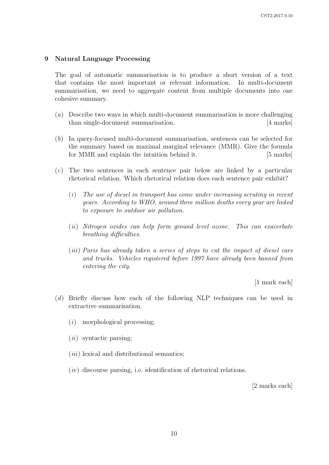#### 9 Natural Language Processing

The goal of automatic summarisation is to produce a short version of a text that contains the most important or relevant information. In multi-document summarisation, we need to aggregate content from multiple documents into one cohesive summary.

- (a) Describe two ways in which multi-document summarisation is more challenging than single-document summarisation. [4 marks]
- (b) In query-focused multi-document summarisation, sentences can be selected for the summary based on maximal marginal relevance (MMR). Give the formula for MMR and explain the intuition behind it. [5 marks]
- (c) The two sentences in each sentence pair below are linked by a particular rhetorical relation. Which rhetorical relation does each sentence pair exhibit?
	- (i) The use of diesel in transport has come under increasing scrutiny in recent years. According to WHO, around three million deaths every year are linked to exposure to outdoor air pollution.
	- (ii) Nitrogen oxides can help form ground level ozone. This can exacerbate breathing difficulties.
	- (iii) Paris has already taken a series of steps to cut the impact of diesel cars and trucks. Vehicles registered before 1997 have already been banned from entering the city.

[1 mark each]

- (d) Briefly discuss how each of the following NLP techniques can be used in extractive summarisation.
	- (i) morphological processing;
	- $(ii)$  syntactic parsing;
	- $(iii)$  lexical and distributional semantics;
	- $(iv)$  discourse parsing, i.e. identification of rhetorical relations.

[2 marks each]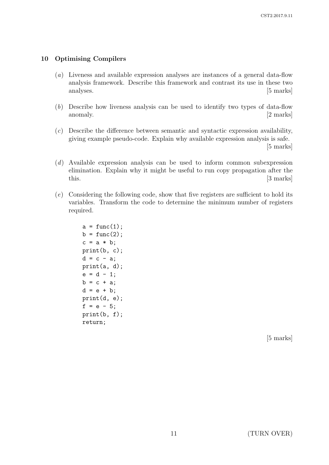## 10 Optimising Compilers

- (a) Liveness and available expression analyses are instances of a general data-flow analysis framework. Describe this framework and contrast its use in these two analyses. [5 marks]
- (b) Describe how liveness analysis can be used to identify two types of data-flow anomaly.  $[2 \text{ marks}]$
- (c) Describe the difference between semantic and syntactic expression availability, giving example pseudo-code. Explain why available expression analysis is safe. [5 marks]
- (d) Available expression analysis can be used to inform common subexpression elimination. Explain why it might be useful to run copy propagation after the this. [3 marks]
- (e) Considering the following code, show that five registers are sufficient to hold its variables. Transform the code to determine the minimum number of registers required.

```
a = func(1);b = func(2);c = a * b;print(b, c);
d = c - a;print(a, d);
e = d - 1;b = c + a;d = e + b;print(d, e);
f = e - 5;print(b, f);
return;
```
[5 marks]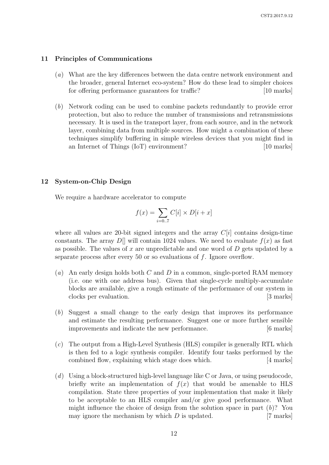#### 11 Principles of Communications

- (a) What are the key differences between the data centre network environment and the broader, general Internet eco-system? How do these lead to simpler choices for offering performance guarantees for traffic? [10 marks]
- (b) Network coding can be used to combine packets redundantly to provide error protection, but also to reduce the number of transmissions and retransmissions necessary. It is used in the transport layer, from each source, and in the network layer, combining data from multiple sources. How might a combination of these techniques simplify buffering in simple wireless devices that you might find in an Internet of Things (IoT) environment? [10 marks]

#### 12 System-on-Chip Design

We require a hardware accelerator to compute

$$
f(x) = \sum_{i=0..7} C[i] \times D[i+x]
$$

where all values are 20-bit signed integers and the array  $C[i]$  contains design-time constants. The array  $D[\]$  will contain 1024 values. We need to evaluate  $f(x)$  as fast as possible. The values of x are unpredictable and one word of  $D$  gets updated by a separate process after every 50 or so evaluations of f. Ignore overflow.

- (a) An early design holds both C and D in a common, single-ported RAM memory (i.e. one with one address bus). Given that single-cycle multiply-accumulate blocks are available, give a rough estimate of the performance of our system in clocks per evaluation. [3 marks]
- (b) Suggest a small change to the early design that improves its performance and estimate the resulting performance. Suggest one or more further sensible improvements and indicate the new performance. [6 marks]
- (c) The output from a High-Level Synthesis (HLS) compiler is generally RTL which is then fed to a logic synthesis compiler. Identify four tasks performed by the combined flow, explaining which stage does which. [4 marks]
- $(d)$  Using a block-structured high-level language like C or Java, or using pseudocode, briefly write an implementation of  $f(x)$  that would be amenable to HLS compilation. State three properties of your implementation that make it likely to be acceptable to an HLS compiler and/or give good performance. What might influence the choice of design from the solution space in part  $(b)$ ? You may ignore the mechanism by which  $D$  is updated. [7 marks]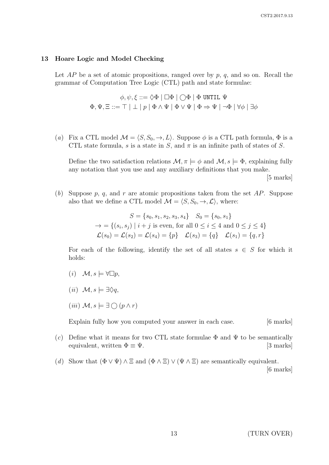#### 13 Hoare Logic and Model Checking

Let  $AP$  be a set of atomic propositions, ranged over by  $p, q$ , and so on. Recall the grammar of Computation Tree Logic (CTL) path and state formulae:

$$
\begin{array}{c} \phi,\psi,\xi::=\Diamond\Phi\mid\Box\Phi\mid\bigcirc\Phi\mid\Phi\;\text{UNITIL }\Psi\\ \Phi,\Psi,\Xi::=\top\mid\bot\mid p\mid\Phi\wedge\Psi\mid\Phi\vee\Psi\mid\Phi\Rightarrow\Psi\mid\neg\Phi\mid\forall\phi\mid\exists\phi\end{array}
$$

(a) Fix a CTL model  $\mathcal{M} = \langle S, S_0, \to, L \rangle$ . Suppose  $\phi$  is a CTL path formula,  $\Phi$  is a CTL state formula, s is a state in S, and  $\pi$  is an infinite path of states of S.

Define the two satisfaction relations  $\mathcal{M}, \pi \models \phi$  and  $\mathcal{M}, s \models \Phi$ , explaining fully any notation that you use and any auxiliary definitions that you make.

[5 marks]

(b) Suppose p, q, and r are atomic propositions taken from the set  $AP$ . Suppose also that we define a CTL model  $\mathcal{M} = \langle S, S_0, \to, \mathcal{L} \rangle$ , where:

$$
S = \{s_0, s_1, s_2, s_3, s_4\} \quad S_0 = \{s_0, s_1\}
$$
  
\n
$$
\rightarrow = \{(s_i, s_j) \mid i + j \text{ is even, for all } 0 \le i \le 4 \text{ and } 0 \le j \le 4\}
$$
  
\n
$$
\mathcal{L}(s_0) = \mathcal{L}(s_2) = \mathcal{L}(s_4) = \{p\} \quad \mathcal{L}(s_3) = \{q\} \quad \mathcal{L}(s_1) = \{q, r\}
$$

For each of the following, identify the set of all states  $s \in S$  for which it holds:

- $(i) \mathcal{M}, s \models \forall \Box p,$
- (ii)  $\mathcal{M}, s \models \exists \Diamond q,$
- $(iii)$   $\mathcal{M}, s \models \exists \bigcap (p \land r)$

Explain fully how you computed your answer in each case. [6 marks]

- (c) Define what it means for two CTL state formulae  $\Phi$  and  $\Psi$  to be semantically equivalent, written  $\Phi \equiv \Psi$ . [3 marks]
- (d) Show that  $(\Phi \vee \Psi) \wedge \Xi$  and  $(\Phi \wedge \Xi) \vee (\Psi \wedge \Xi)$  are semantically equivalent. [6 marks]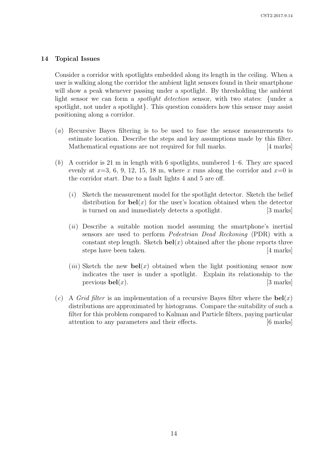#### 14 Topical Issues

Consider a corridor with spotlights embedded along its length in the ceiling. When a user is walking along the corridor the ambient light sensors found in their smartphone will show a peak whenever passing under a spotlight. By thresholding the ambient light sensor we can form a spotlight detection sensor, with two states: {under a spotlight, not under a spotlight}. This question considers how this sensor may assist positioning along a corridor.

- (a) Recursive Bayes filtering is to be used to fuse the sensor measurements to estimate location. Describe the steps and key assumptions made by this filter. Mathematical equations are not required for full marks. [4 marks]
- (b) A corridor is 21 m in length with 6 spotlights, numbered 1–6. They are spaced evenly at  $x=3, 6, 9, 12, 15, 18$  m, where x runs along the corridor and  $x=0$  is the corridor start. Due to a fault lights 4 and 5 are off.
	- (i) Sketch the measurement model for the spotlight detector. Sketch the belief distribution for  $bel(x)$  for the user's location obtained when the detector is turned on and immediately detects a spotlight. [3 marks]
	- $(ii)$  Describe a suitable motion model assuming the smartphone's inertial sensors are used to perform Pedestrian Dead Reckoning (PDR) with a constant step length. Sketch  $bel(x)$  obtained after the phone reports three steps have been taken. [4 marks]
	- (*iii*) Sketch the new **bel**(*x*) obtained when the light positioning sensor now indicates the user is under a spotlight. Explain its relationship to the previous  $\text{bel}(x)$ . [3 marks]
- (c) A Grid filter is an implementation of a recursive Bayes filter where the  $\text{bel}(x)$ distributions are approximated by histograms. Compare the suitability of such a filter for this problem compared to Kalman and Particle filters, paying particular attention to any parameters and their effects. [6 marks]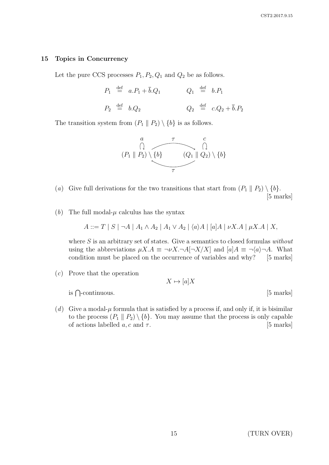#### 15 Topics in Concurrency

Let the pure CCS processes  $P_1, P_2, Q_1$  and  $Q_2$  be as follows.

$$
P_1 \stackrel{\text{def}}{=} a.P_1 + \overline{b}.Q_1 \qquad Q_1 \stackrel{\text{def}}{=} b.P_1
$$
  

$$
P_2 \stackrel{\text{def}}{=} b.Q_2 \qquad Q_2 \stackrel{\text{def}}{=} c.Q_2 + \overline{b}.P_2
$$

The transition system from  $(P_1 \parallel P_2) \setminus \{b\}$  is as follows.



- (a) Give full derivations for the two transitions that start from  $(P_1 \parallel P_2) \setminus \{b\}.$ [5 marks]
- (b) The full modal- $\mu$  calculus has the syntax

$$
A ::= T | S | \neg A | A_1 \wedge A_2 | A_1 \vee A_2 | \langle a \rangle A | [a] A | \nu X.A | \mu X.A | X,
$$

where  $S$  is an arbitrary set of states. Give a semantics to closed formulas without using the abbreviations  $\mu X.A \equiv \neg \nu X.\neg A[\neg X/X]$  and  $[a]A \equiv \neg \langle a \rangle \neg A$ . What condition must be placed on the occurrence of variables and why? [5 marks]

(c) Prove that the operation

 $X \mapsto [a]X$ 

is  $\bigcap$ -continuous. [5 marks]

- 
- (d) Give a modal- $\mu$  formula that is satisfied by a process if, and only if, it is bisimilar to the process  $(P_1 \parallel P_2) \setminus \{b\}$ . You may assume that the process is only capable<br>of actions labelled a, c and  $\tau$ . [5 marks] of actions labelled  $a, c$  and  $\tau$ .